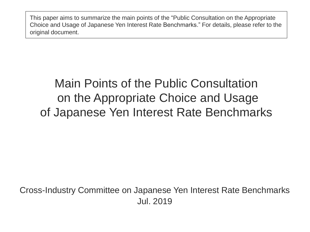This paper aims to summarize the main points of the "Public Consultation on the Appropriate Choice and Usage of Japanese Yen Interest Rate Benchmarks." For details, please refer to the original document.

# Main Points of the Public Consultation on the Appropriate Choice and Usage of Japanese Yen Interest Rate Benchmarks

Cross-Industry Committee on Japanese Yen Interest Rate Benchmarks Jul. 2019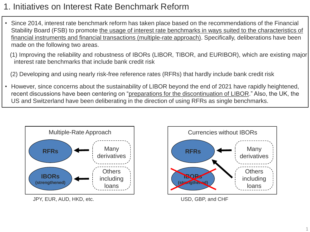### 1. Initiatives on Interest Rate Benchmark Reform

- Since 2014, interest rate benchmark reform has taken place based on the recommendations of the Financial Stability Board (FSB) to promote the usage of interest rate benchmarks in ways suited to the characteristics of financial instruments and financial transactions (multiple-rate approach). Specifically, deliberations have been made on the following two areas.
	- (1) Improving the reliability and robustness of IBORs (LIBOR, TIBOR, and EURIBOR), which are existing major interest rate benchmarks that include bank credit risk
	- (2) Developing and using nearly risk-free reference rates (RFRs) that hardly include bank credit risk
- However, since concerns about the sustainability of LIBOR beyond the end of 2021 have rapidly heightened, recent discussions have been centering on "preparations for the discontinuation of LIBOR." Also, the UK, the US and Switzerland have been deliberating in the direction of using RFRs as single benchmarks.



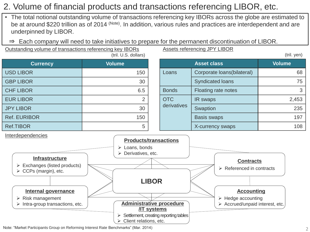# 2. Volume of financial products and transactions referencing LIBOR, etc.

- The total notional outstanding volume of transactions referencing key IBORs across the globe are estimated to be at around \$220 trillion as of 2014 (Note). In addition, various rules and practices are interdependent and are underpinned by LIBOR.
- ⇒ Each company will need to take initiatives to prepare for the permanent discontinuation of LIBOR.



Note: "Market Participants Group on Reforming Interest Rate Benchmarks" (Mar. 2014)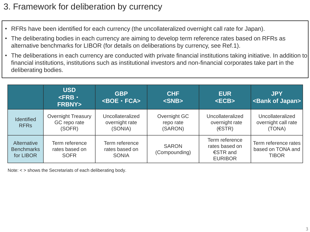### 3. Framework for deliberation by currency

- RFRs have been identified for each currency (the uncollateralized overnight call rate for Japan).
- The deliberating bodies in each currency are aiming to develop term reference rates based on RFRs as alternative benchmarks for LIBOR (for details on deliberations by currency, see Ref.1).
- The deliberations in each currency are conducted with private financial institutions taking initiative. In addition to financial institutions, institutions such as institutional investors and non-financial corporates take part in the deliberating bodies.

|                                               | <b>USD</b><br>$<$ FRB $\cdot$<br><b>FRBNY&gt;</b>   | <b>GBP</b><br><boe fca="" ·=""></boe>            | <b>CHF</b><br><snb></snb>            | <b>EUR</b><br>$<$ ECB $>$                                                | <b>JPY</b><br><bank japan="" of=""></bank>                |
|-----------------------------------------------|-----------------------------------------------------|--------------------------------------------------|--------------------------------------|--------------------------------------------------------------------------|-----------------------------------------------------------|
| <b>Identified</b><br><b>RFR<sub>s</sub></b>   | <b>Overnight Treasury</b><br>GC repo rate<br>(SOFR) | Uncollateralized<br>overnight rate<br>(SONIA)    | Overnight GC<br>repo rate<br>(SARON) | Uncollateralized<br>overnight rate<br>(ESTR)                             | Uncollateralized<br>overnight call rate<br>(TONA)         |
| Alternative<br><b>Benchmarks</b><br>for LIBOR | Term reference<br>rates based on<br><b>SOFR</b>     | Term reference<br>rates based on<br><b>SONIA</b> | <b>SARON</b><br>(Compounding)        | Term reference<br>rates based on<br>$\epsilon$ STR and<br><b>EURIBOR</b> | Term reference rates<br>based on TONA and<br><b>TIBOR</b> |

Note: < > shows the Secretariats of each deliberating body.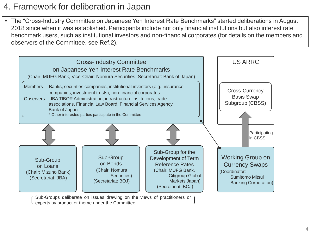### 4. Framework for deliberation in Japan

• The "Cross-Industry Committee on Japanese Yen Interest Rate Benchmarks" started deliberations in August 2018 since when it was established. Participants include not only financial institutions but also interest rate benchmark users, such as institutional investors and non-financial corporates (for details on the members and observers of the Committee, see Ref.2).



Sub-Groups deliberate on issues drawing on the views of practitioners or experts by product or theme under the Committee.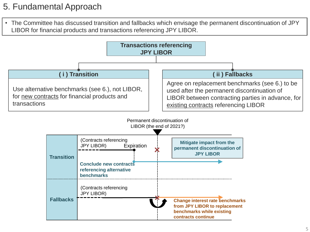## 5. Fundamental Approach

• The Committee has discussed transition and fallbacks which envisage the permanent discontinuation of JPY LIBOR for financial products and transactions referencing JPY LIBOR.

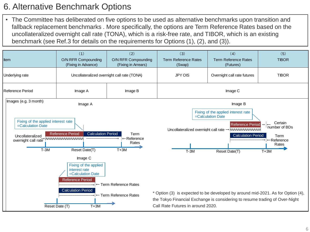### 6. Alternative Benchmark Options

• The Committee has deliberated on five options to be used as alternative benchmarks upon transition and fallback replacement benchmarks . More specifically, the options are Term Reference Rates based on the uncollateralized overnight call rate (TONA), which is a risk-free rate, and TIBOR, which is an existing benchmark (see Ref.3 for details on the requirements for Options (1), (2), and (3)).

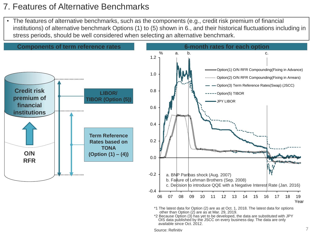### 7. Features of Alternative Benchmarks

• The features of alternative benchmarks, such as the components (e.g., credit risk premium of financial institutions) of alternative benchmark Options (1) to (5) shown in 6., and their historical fluctuations including in stress periods, should be well considered when selecting an alternative benchmark.



Source: Refinitiv

available since Oct. 2012.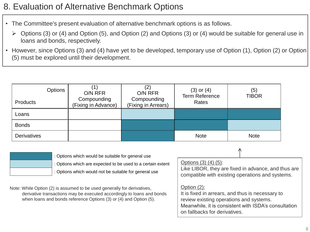### 8. Evaluation of Alternative Benchmark Options

- The Committee's present evaluation of alternative benchmark options is as follows.
	- $\triangleright$  Options (3) or (4) and Option (5), and Option (2) and Options (3) or (4) would be suitable for general use in loans and bonds, respectively.
- However, since Options (3) and (4) have yet to be developed, temporary use of Option (1), Option (2) or Option (5) must be explored until their development.

| <b>Products</b>    | <b>Options</b> | O/N RFR<br>Compounding<br>(Fixing in Advance) | O/N RFR<br>Compounding<br>(Fixing in Arrears) | $(3)$ or $(4)$<br><b>Term Reference</b><br>Rates | (5)<br><b>TIBOR</b> |
|--------------------|----------------|-----------------------------------------------|-----------------------------------------------|--------------------------------------------------|---------------------|
| Loans              |                |                                               |                                               |                                                  |                     |
| <b>Bonds</b>       |                |                                               |                                               |                                                  |                     |
| <b>Derivatives</b> |                |                                               |                                               | <b>Note</b>                                      | <b>Note</b>         |

: Options which would be suitable for general use : Options which are expected to be used to a certain extent

: Options which would not be suitable for general use

Note: While Option (2) is assumed to be used generally for derivatives, derivative transactions may be executed accordingly to loans and bonds when loans and bonds reference Options (3) or (4) and Option (5).

Options (3) (4) (5):

Like LIBOR, they are fixed in advance, and thus are compatible with existing operations and systems.

#### Option (2):

It is fixed in arrears, and thus is necessary to review existing operations and systems. Meanwhile, it is consistent with ISDA's consultation on fallbacks for derivatives.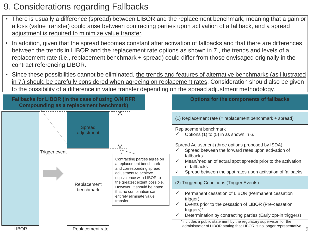### 9. Considerations regarding Fallbacks

- There is usually a difference (spread) between LIBOR and the replacement benchmark, meaning that a gain or a loss (value transfer) could arise between contracting parties upon activation of a fallback, and a spread adjustment is required to minimize value transfer.
- In addition, given that the spread becomes constant after activation of fallbacks and that there are differences between the trends in LIBOR and the replacement rate options as shown in 7., the trends and levels of a replacement rate (i.e., replacement benchmark + spread) could differ from those envisaged originally in the contract referencing LIBOR.
- Since these possibilities cannot be eliminated, the trends and features of alternative benchmarks (as illustrated in 7.) should be carefully considered when agreeing on replacement rates. Consideration should also be given to the possibility of a difference in value transfer depending on the spread adjustment methodology.

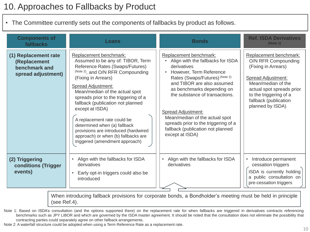• The Committee currently sets out the components of fallbacks by product as follows.

| <b>Components of</b><br><b>fallbacks</b>                                    | <b>Loans</b>                                                                                                                                                                                                                                                                                                                                                                                                                                                                                              | <b>Bonds</b>                                                                                                                                                                                                                                                                                                                                                                                         | <b>Ref. ISDA Derivatives</b><br>(Note 1)                                                                                                                                                                                    |
|-----------------------------------------------------------------------------|-----------------------------------------------------------------------------------------------------------------------------------------------------------------------------------------------------------------------------------------------------------------------------------------------------------------------------------------------------------------------------------------------------------------------------------------------------------------------------------------------------------|------------------------------------------------------------------------------------------------------------------------------------------------------------------------------------------------------------------------------------------------------------------------------------------------------------------------------------------------------------------------------------------------------|-----------------------------------------------------------------------------------------------------------------------------------------------------------------------------------------------------------------------------|
| (1) Replacement rate<br>(Replacement<br>benchmark and<br>spread adjustment) | Replacement benchmark:<br>Assumed to be any of: TIBOR, Term<br>Reference Rates (Swaps/Futures)<br>(Note 2), and O/N RFR Compounding<br>(Fixing in Arrears)<br><b>Spread Adjustment:</b><br>Mean/median of the actual spot<br>spreads prior to the triggering of a<br>fallback (publication not planned<br>except at ISDA)<br>A replacement rate could be<br>determined when (a) fallback<br>provisions are introduced (hardwired<br>approach) or when (b) fallbacks are<br>triggered (amendment approach) | Replacement benchmark:<br>Align with the fallbacks for ISDA<br>derivatives<br>However, Term Reference<br>Rates (Swaps/Futures) (Note 2)<br>and TIBOR are also assumed<br>as benchmarks depending on<br>the substance of transactions.<br><b>Spread Adjustment:</b><br>Mean/median of the actual spot<br>spreads prior to the triggering of a<br>fallback (publication not planned<br>except at ISDA) | Replacement benchmark:<br>O/N RFR Compounding<br>(Fixing in Arrears)<br><b>Spread Adjustment:</b><br>Mean/median of the<br>actual spot spreads prior<br>to the triggering of a<br>fallback (publication<br>planned by ISDA) |
| (2) Triggering<br>conditions (Trigger<br>events)                            | Align with the fallbacks for ISDA<br>derivatives<br>Early opt-in triggers could also be<br>$\bullet$<br>introduced                                                                                                                                                                                                                                                                                                                                                                                        | Align with the fallbacks for ISDA<br>$\bullet$<br>derivatives                                                                                                                                                                                                                                                                                                                                        | Introduce permanent<br>$\bullet$<br>cessation triggers<br>ISDA is currently holding<br>a public consultation on<br>pre-cessation triggers                                                                                   |

When introducing fallback provisions for corporate bonds, a Bondholder's meeting must be held in principle (see Ref.4).

Note 1: Based on ISDA's consultation (and the options supported there) on the replacement rate for when fallbacks are triggered in derivatives contracts referencing benchmarks such as JPY LIBOR and which are governed by the ISDA master agreement. It should be noted that the consultation does not eliminate the possibility that contracting parties could separately agree on other fallback arrangements.

Note 2: A waterfall structure could be adopted when using a Term Reference Rate as a replacement rate.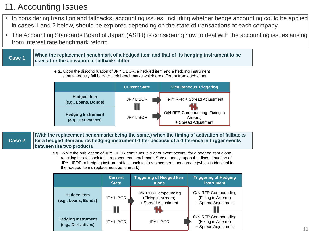### 11. Accounting Issues

- In considering transition and fallbacks, accounting issues, including whether hedge accounting could be applied in cases 1 and 2 below, should be explored depending on the state of transactions at each company.
- The Accounting Standards Board of Japan (ASBJ) is considering how to deal with the accounting issues arising from interest rate benchmark reform.

#### **Case 1**

**When the replacement benchmark of a hedged item and that of its hedging instrument to be used after the activation of fallbacks differ**

e.g., Upon the discontinuation of JPY LIBOR, a hedged item and a hedging instrument simultaneously fall back to their benchmarks which are different from each other.

|                                                  | <b>Current State</b> | <b>Simultaneous Triggering</b>                                    |
|--------------------------------------------------|----------------------|-------------------------------------------------------------------|
| <b>Hedged Item</b><br>(e.g., Loans, Bonds)       | <b>JPY LIBOR</b>     | Term RFR + Spread Adjustment                                      |
| <b>Hedging Instrument</b><br>(e.g., Derivatives) | <b>JPY LIBOR</b>     | O/N RFR Compounding (Fixing in<br>Arrears)<br>+ Spread Adjustment |

**Case 2 (With the replacement benchmarks being the same,) when the timing of activation of fallbacks for a hedged item and its hedging instrument differ because of a difference in trigger events between the two products**

> e.g., While the publication of JPY LIBOR continues, a trigger event occurs for a hedged item alone, resulting in a fallback to its replacement benchmark. Subsequently, upon the discontinuation of JPY LIBOR, a hedging instrument falls back to its replacement benchmark (which is identical to the hedged item's replacement benchmark).

|                                                  | <b>Current</b><br><b>State</b> | <b>Triggering of Hedged Item</b><br><b>Alone</b>                  | <b>Triggering of Hedging</b><br><b>Instrument</b>                 |
|--------------------------------------------------|--------------------------------|-------------------------------------------------------------------|-------------------------------------------------------------------|
| <b>Hedged Item</b><br>(e.g., Loans, Bonds)       | <b>JPY LIBOR</b>               | O/N RFR Compounding<br>(Fixing in Arrears)<br>+ Spread Adjustment | O/N RFR Compounding<br>(Fixing in Arrears)<br>+ Spread Adjustment |
| <b>Hedging Instrument</b><br>(e.g., Derivatives) | <b>JPY LIBOR</b>               | <b>JPY LIBOR</b>                                                  | O/N RFR Compounding<br>(Fixing in Arrears)<br>+ Spread Adjustment |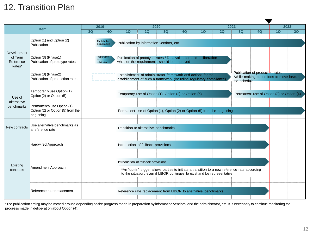### 12. Transition Plan

| <b>Item</b>                                                       |                                                                               |     | 2019                        |    |                                                                                                                                                                                                                    | 2020 |           | 2021 |    |              |                                                                               | 2022 |    |
|-------------------------------------------------------------------|-------------------------------------------------------------------------------|-----|-----------------------------|----|--------------------------------------------------------------------------------------------------------------------------------------------------------------------------------------------------------------------|------|-----------|------|----|--------------|-------------------------------------------------------------------------------|------|----|
|                                                                   |                                                                               | 3Q  | 4Q                          | 1Q | 2Q                                                                                                                                                                                                                 | 3Q   | <b>4Q</b> | 1Q   | 2Q | 3Q           | 4Q                                                                            | 1Q   | 2Q |
|                                                                   | Option (1) and Option (2)<br>Publication                                      |     | Publish the<br>deliverables |    | Publication by information vendors, etc.                                                                                                                                                                           |      |           |      |    |              |                                                                               |      |    |
| Development<br>of Term<br>Reference<br>Rates*                     | Option (3) (Phase1)<br>Publication of prototype rates                         | for | Preperation<br>publication  |    | Publication of prototype rates / Data validation and deliberation<br>whether the requirements should be improved                                                                                                   |      |           |      |    |              |                                                                               |      |    |
|                                                                   | Option (3) (Phase2)<br>Publication of production rates                        |     |                             |    | Establishment of administrator framework and actions for the<br>establishment of such a framework (including regulatory compliance)                                                                                |      |           |      |    | the schedule | Publication of production rates<br>*while making best efforts to move forward |      |    |
| Temporarily use Option (1),<br>Option (2) or Option (5)<br>Use of |                                                                               |     |                             |    | Temporary use of Option (1), Option (2) or Option (5)                                                                                                                                                              |      |           |      |    |              | Permanent use of Option (3) or Option (4)                                     |      |    |
| alternative<br>benchmarks                                         | Permanently use Option (1),<br>Option (2) or Option (5) from the<br>beginning |     |                             |    | Permanent use of Option (1), Option (2) or Option (5) from the beginning                                                                                                                                           |      |           |      |    |              |                                                                               |      |    |
| New contracts                                                     | Use alternative benchmarks as<br>a reference rate                             |     |                             |    | Transition to alternative benchmarks                                                                                                                                                                               |      |           |      |    |              |                                                                               |      |    |
|                                                                   | Hardwired Approach                                                            |     |                             |    | Introduction of fallback provisions                                                                                                                                                                                |      |           |      |    |              |                                                                               |      |    |
| Existing<br>contracts                                             | Amendment Approach                                                            |     |                             |    | Introduction of fallback provisions<br>*An "opt-in" trigger allows parties to initiate a transition to a new reference rate according<br>to the situation, even if LIBOR continues to exist and be representative. |      |           |      |    |              |                                                                               |      |    |
|                                                                   | Reference rate replacement                                                    |     |                             |    | Reference rate replacement from LIBOR to alternative benchmarks                                                                                                                                                    |      |           |      |    |              |                                                                               |      |    |

\*The publication timing may be moved around depending on the progress made in preparation by information vendors, and the administrator, etc. It is necessary to continue monitoring the progress made in deliberation about Option (4).

 $\overline{\phantom{a}}$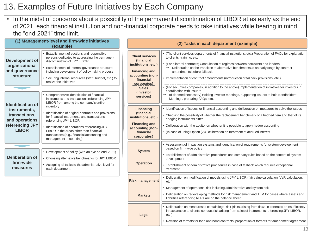# 13. Examples of Future Initiatives by Each Company

• In the midst of concerns about a possibility of the permanent discontinuation of LIBOR at as early as the end of 2021, each financial institution and non-financial corporate needs to take initiatives while bearing in mind the "end-2021" time limit.

|                                                                                                                | (1) Management-level and firm-wide initiatives<br>(example)                                                                                                                                                                                                                                                                                                                                                                                        |                                                                                                                                                                         | (2) Tasks in each department (example)                                                                                                                                                                                                                                                                                                                                                                                                                                                                                                                                               |
|----------------------------------------------------------------------------------------------------------------|----------------------------------------------------------------------------------------------------------------------------------------------------------------------------------------------------------------------------------------------------------------------------------------------------------------------------------------------------------------------------------------------------------------------------------------------------|-------------------------------------------------------------------------------------------------------------------------------------------------------------------------|--------------------------------------------------------------------------------------------------------------------------------------------------------------------------------------------------------------------------------------------------------------------------------------------------------------------------------------------------------------------------------------------------------------------------------------------------------------------------------------------------------------------------------------------------------------------------------------|
| <b>Development of</b><br>organizational<br>and governance<br>structure                                         | Establishment of sections and responsible<br>persons dedicated to addressing the permanent<br>discontinuation of JPY LIBOR<br>Establishment of internal governance structure<br>including development of policymaking process<br>Securing internal resources (staff, budget, etc.) to<br>realize the initiatives                                                                                                                                   | <b>Client services</b><br>(financial<br>institutions, etc.)<br><b>Financing and</b><br>accounting (non-<br>financial<br>corporates)                                     | (The client services departments of financial institutions, etc.) Preparation of FAQs for explanation<br>to clients, training, etc.<br>(For bilateral contracts) Consultation of regimes between borrowers and lenders<br>$\Rightarrow$ Deliberation on the transition to alternative benchmarks at an early stage by contract<br>amendments before fallback<br>Implementation of contract amendments (introduction of fallback provisions, etc.)<br>· (For securities companies, in addition to the above) Implementation of initiatives for investors in                           |
| <b>Identification of</b><br>instruments,<br>transactions,<br>and operations<br>referencing JPY<br><b>LIBOR</b> | Comprehensive identification of financial<br>instruments and transactions referencing JPY<br>LIBOR from among the company's entire<br>inventory<br>Identification of original contracts and provisions<br>for financial instruments and transactions<br>referencing JPY LIBOR<br>Identification of operations referencing JPY<br>LIBOR in the areas other than financial<br>transactions (e.g., financial accounting and<br>management accounting) | <b>Sales</b><br>(investor<br>services)<br><b>Financing</b><br>(financial<br>institutions, etc.)<br><b>Financing and</b><br>accounting (non-<br>financial<br>corporates) | coordination with issuers<br>(If deemed necessary) Holding investor meetings, supporting issuers to hold Bondholders'<br>$\Rightarrow$<br>Meetings, preparing FAQs, etc.<br>Identification of issues for financial accounting and deliberation on measures to solve the issues<br>Checking the possibility of whether the replacement benchmark of a hedged item and that of its<br>hedging instruments differ<br>Deliberation with the auditor on whether it is possible to apply hedge accounting<br>. (In case of using Option (2)) Deliberation on treatment of accrued interest |
| <b>Deliberation of</b><br>firm-wide<br>measures                                                                | Development of policy (with an eye on end-2021)<br>Choosing alternative benchmarks for JPY LIBOR<br>Assigning all tasks to the administrative level for<br>each department                                                                                                                                                                                                                                                                         | <b>System</b><br><b>Operation</b>                                                                                                                                       | Assessment of impact on systems and identification of requirements for system development<br>based on firm-wide policy<br>Establishment of administrative procedures and company rules based on the content of system<br>development<br>Establishment of administrative procedures in case of fallback which requires exceptional<br>treatment                                                                                                                                                                                                                                       |
|                                                                                                                |                                                                                                                                                                                                                                                                                                                                                                                                                                                    | <b>Risk management</b><br><b>Markets</b>                                                                                                                                | Deliberation on modification of models using JPY LIBOR (fair value calculation, VaR calculation,<br>etc.)<br>Management of operational risk including administrative and system risk<br>Deliberation on redeveloping methods for risk management and ALM for cases where assets and<br>liabilities referencing RFRs are on the balance sheet<br>Deliberation on measures to contain legal risk (risks arising from flaws in contracts or insufficiency                                                                                                                               |
|                                                                                                                |                                                                                                                                                                                                                                                                                                                                                                                                                                                    | Legal                                                                                                                                                                   | in explanation to clients, conduct risk arising from sales of instruments referencing JPY LIBOR,<br>etc.)<br>Revision of formats for loan and bond contracts, preparation of formats for amendment agreement                                                                                                                                                                                                                                                                                                                                                                         |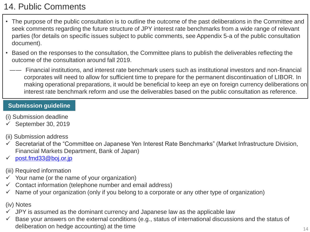# 14. Public Comments

- The purpose of the public consultation is to outline the outcome of the past deliberations in the Committee and seek comments regarding the future structure of JPY interest rate benchmarks from a wide range of relevant parties (for details on specific issues subject to public comments, see Appendix 5-a of the public consultation document).
- Based on the responses to the consultation, the Committee plans to publish the deliverables reflecting the outcome of the consultation around fall 2019.
	- Financial institutions, and interest rate benchmark users such as institutional investors and non-financial corporates will need to allow for sufficient time to prepare for the permanent discontinuation of LIBOR. In making operational preparations, it would be beneficial to keep an eye on foreign currency deliberations on interest rate benchmark reform and use the deliverables based on the public consultation as reference.

### **Submission guideline**

- (i) Submission deadline
- September 30, 2019
- (ii) Submission address
- $\checkmark$  Secretariat of the "Committee on Japanese Yen Interest Rate Benchmarks" (Market Infrastructure Division, Financial Markets Department, Bank of Japan)
- [post.fmd33@boj.or.jp](mailto:post.fmd33@boj.or.jp)
- (iii) Required information
- Your name (or the name of your organization)
- $\checkmark$  Contact information (telephone number and email address)
- $\checkmark$  Name of your organization (only if you belong to a corporate or any other type of organization)

### (iv) Notes

- JPY is assumed as the dominant currency and Japanese law as the applicable law
- $\checkmark$  Base your answers on the external conditions (e.g., status of international discussions and the status of deliberation on hedge accounting) at the time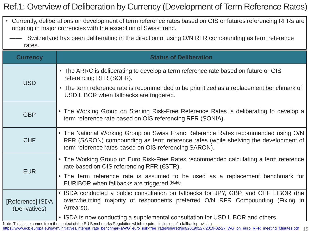Ref.1: Overview of Deliberation by Currency (Development of Term Reference Rates)

• Currently, deliberations on development of term reference rates based on OIS or futures referencing RFRs are ongoing in major currencies with the exception of Swiss franc.

Switzerland has been deliberating in the direction of using O/N RFR compounding as term reference rates.

| <b>Currency</b>                   | <b>Status of Deliberation</b>                                                                                                                                                                                                                                                                                                                                                                     |
|-----------------------------------|---------------------------------------------------------------------------------------------------------------------------------------------------------------------------------------------------------------------------------------------------------------------------------------------------------------------------------------------------------------------------------------------------|
| <b>USD</b>                        | • The ARRC is deliberating to develop a term reference rate based on future or OIS<br>referencing RFR (SOFR).<br>• The term reference rate is recommended to be prioritized as a replacement benchmark of<br>USD LIBOR when fallbacks are triggered.                                                                                                                                              |
| <b>GBP</b>                        | • The Working Group on Sterling Risk-Free Reference Rates is deliberating to develop a<br>term reference rate based on OIS referencing RFR (SONIA).                                                                                                                                                                                                                                               |
| <b>CHF</b>                        | • The National Working Group on Swiss Franc Reference Rates recommended using O/N<br>RFR (SARON) compounding as term reference rates (while shelving the development of<br>term reference rates based on OIS referencing SARON).                                                                                                                                                                  |
| <b>EUR</b>                        | • The Working Group on Euro Risk-Free Rates recommended calculating a term reference<br>rate based on OIS referencing RFR (€STR).<br>• The term reference rate is assumed to be used as a replacement benchmark for<br>EURIBOR when fallbacks are triggered (Note).                                                                                                                               |
| [Reference] ISDA<br>(Derivatives) | • ISDA conducted a public consultation on fallbacks for JPY, GBP, and CHF LIBOR (the<br>overwhelming majority of respondents preferred O/N RFR Compounding (Fixing in<br>Arrears)).<br>• ISDA is now conducting a supplemental consultation for USD LIBOR and others.<br>Note: This issue comes from the context of the EU Benchmarks Regulation which requires inclusion of a fallback provision |

[https://www.ecb.europa.eu/paym/initiatives/interest\\_rate\\_benchmarks/WG\\_euro\\_risk-free\\_rates/shared/pdf/20190227/2019-02-27\\_WG\\_on\\_euro\\_RFR\\_meeting\\_Minutes.pdf](https://www.ecb.europa.eu/paym/initiatives/interest_rate_benchmarks/WG_euro_risk-free_rates/shared/pdf/20190227/2019-02-27_WG_on_euro_RFR_meeting_Minutes.pdf) 15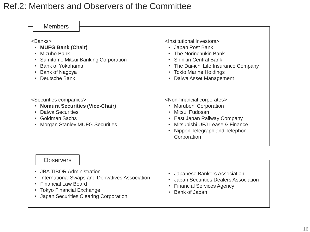### Ref.2: Members and Observers of the Committee



**Observers** 

- JBA TIBOR Administration
- International Swaps and Derivatives Association
- Financial Law Board
- Tokyo Financial Exchange
- Japan Securities Clearing Corporation
- Japanese Bankers Association
- Japan Securities Dealers Association
- Financial Services Agency
- Bank of Japan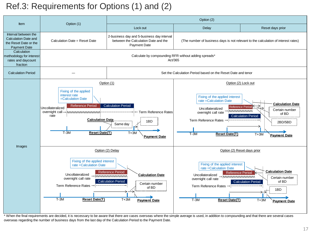Ref.3: Requirements for Options (1) and (2)



\* When the final requirements are decided, it is necessary to be aware that there are cases overseas where the simple average is used, in addition to compounding and that there are several cases overseas regarding the number of business days from the last day of the Calculation Period to the Payment Date.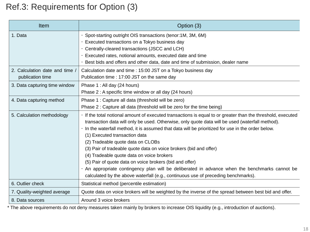### Ref.3: Requirements for Option (3)

| <b>Item</b>                    | Option (3)                                                                                                                                                                                                   |
|--------------------------------|--------------------------------------------------------------------------------------------------------------------------------------------------------------------------------------------------------------|
| 1. Data                        | · Spot-starting outright OIS transactions (tenor:1M, 3M, 6M)                                                                                                                                                 |
|                                | Executed transactions on a Tokyo business day                                                                                                                                                                |
|                                | Centrally-cleared transactions (JSCC and LCH)                                                                                                                                                                |
|                                | Executed rates, notional amounts, executed date and time                                                                                                                                                     |
|                                | Best bids and offers and other data, date and time of submission, dealer name                                                                                                                                |
| 2. Calculation date and time / | Calculation date and time : 15:00 JST on a Tokyo business day                                                                                                                                                |
| publication time               | Publication time: 17:00 JST on the same day                                                                                                                                                                  |
| 3. Data capturing time window  | Phase 1: All day (24 hours)                                                                                                                                                                                  |
|                                | Phase 2 : A specific time window or all day (24 hours)                                                                                                                                                       |
| 4. Data capturing method       | Phase 1 : Capture all data (threshold will be zero)                                                                                                                                                          |
|                                | Phase 2 : Capture all data (threshold will be zero for the time being)                                                                                                                                       |
| 5. Calculation methodology     | If the total notional amount of executed transactions is equal to or greater than the threshold, executed<br>transaction data will only be used. Otherwise, only quote data will be used (waterfall method). |
|                                | In the waterfall method, it is assumed that data will be prioritized for use in the order below.                                                                                                             |
|                                | (1) Executed transaction data                                                                                                                                                                                |
|                                | (2) Tradeable quote data on CLOBs                                                                                                                                                                            |
|                                | (3) Pair of tradeable quote data on voice brokers (bid and offer)                                                                                                                                            |
|                                | (4) Tradeable quote data on voice brokers                                                                                                                                                                    |
|                                | (5) Pair of quote data on voice brokers (bid and offer)                                                                                                                                                      |
|                                | An appropriate contingency plan will be deliberated in advance when the benchmarks cannot be                                                                                                                 |
|                                | calculated by the above waterfall (e.g., continuous use of preceding benchmarks).                                                                                                                            |
| 6. Outlier check               | Statistical method (percentile estimation)                                                                                                                                                                   |
| 7. Quality-weighted average    | Quote data on voice brokers will be weighted by the inverse of the spread between best bid and offer.                                                                                                        |
| 8. Data sources                | Around 3 voice brokers                                                                                                                                                                                       |

\* The above requirements do not deny measures taken mainly by brokers to increase OIS liquidity (e.g., introduction of auctions).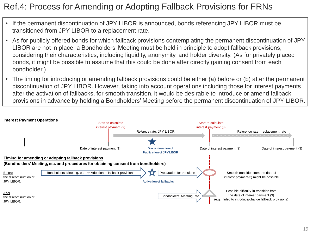### Ref.4: Process for Amending or Adopting Fallback Provisions for FRNs

- If the permanent discontinuation of JPY LIBOR is announced, bonds referencing JPY LIBOR must be transitioned from JPY LIBOR to a replacement rate.
- As for publicly offered bonds for which fallback provisions contemplating the permanent discontinuation of JPY LIBOR are not in place, a Bondholders' Meeting must be held in principle to adopt fallback provisions, considering their characteristics, including liquidity, anonymity, and holder diversity. (As for privately placed bonds, it might be possible to assume that this could be done after directly gaining consent from each bondholder.)
- The timing for introducing or amending fallback provisions could be either (a) before or (b) after the permanent discontinuation of JPY LIBOR. However, taking into account operations including those for interest payments after the activation of fallbacks, for smooth transition, it would be desirable to introduce or amend fallback provisions in advance by holding a Bondholders' Meeting before the permanent discontinuation of JPY LIBOR.